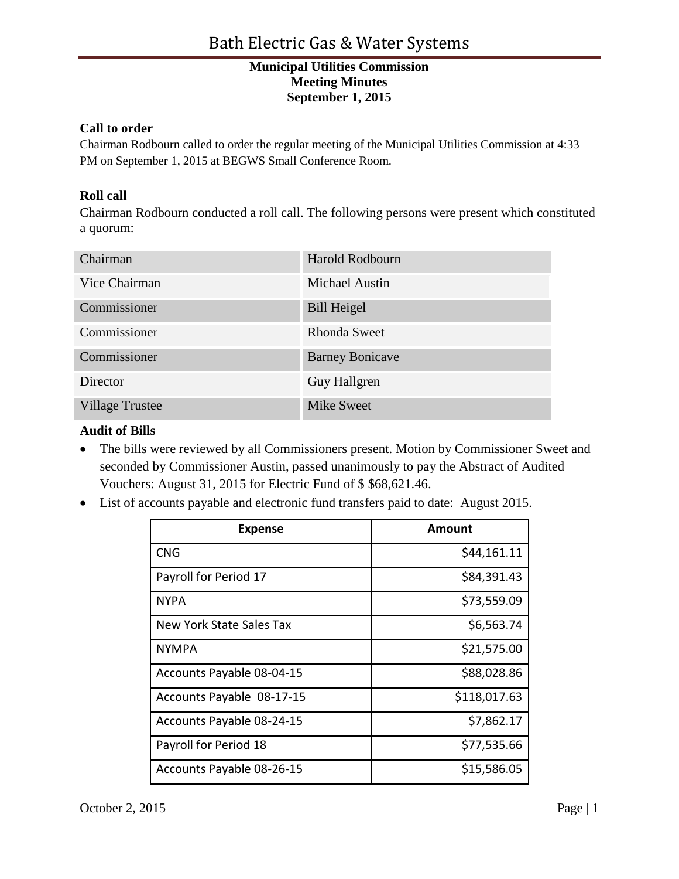### **Call to order**

Chairman Rodbourn called to order the regular meeting of the Municipal Utilities Commission at 4:33 PM on September 1, 2015 at BEGWS Small Conference Room.

## **Roll call**

Chairman Rodbourn conducted a roll call. The following persons were present which constituted a quorum:

| Chairman               | <b>Harold Rodbourn</b> |
|------------------------|------------------------|
| Vice Chairman          | <b>Michael Austin</b>  |
| Commissioner           | <b>Bill Heigel</b>     |
| Commissioner           | <b>Rhonda Sweet</b>    |
| Commissioner           | <b>Barney Bonicave</b> |
| Director               | Guy Hallgren           |
| <b>Village Trustee</b> | <b>Mike Sweet</b>      |

#### **Audit of Bills**

- The bills were reviewed by all Commissioners present. Motion by Commissioner Sweet and seconded by Commissioner Austin, passed unanimously to pay the Abstract of Audited Vouchers: August 31, 2015 for Electric Fund of \$ \$68,621.46.
- List of accounts payable and electronic fund transfers paid to date: August 2015.

| <b>Expense</b>            | Amount       |
|---------------------------|--------------|
| <b>CNG</b>                | \$44,161.11  |
| Payroll for Period 17     | \$84,391.43  |
| <b>NYPA</b>               | \$73,559.09  |
| New York State Sales Tax  | \$6,563.74   |
| <b>NYMPA</b>              | \$21,575.00  |
| Accounts Payable 08-04-15 | \$88,028.86  |
| Accounts Payable 08-17-15 | \$118,017.63 |
| Accounts Payable 08-24-15 | \$7,862.17   |
| Payroll for Period 18     | \$77,535.66  |
| Accounts Payable 08-26-15 | \$15,586.05  |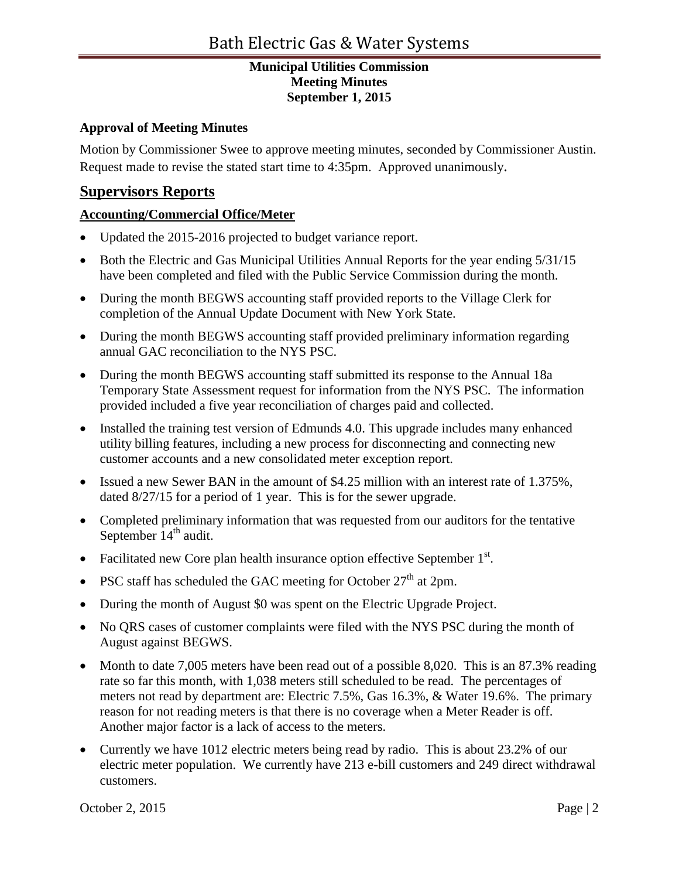## **Approval of Meeting Minutes**

Motion by Commissioner Swee to approve meeting minutes, seconded by Commissioner Austin. Request made to revise the stated start time to 4:35pm. Approved unanimously.

# **Supervisors Reports**

## **Accounting/Commercial Office/Meter**

- Updated the 2015-2016 projected to budget variance report.
- Both the Electric and Gas Municipal Utilities Annual Reports for the year ending  $5/31/15$ have been completed and filed with the Public Service Commission during the month.
- During the month BEGWS accounting staff provided reports to the Village Clerk for completion of the Annual Update Document with New York State.
- During the month BEGWS accounting staff provided preliminary information regarding annual GAC reconciliation to the NYS PSC.
- During the month BEGWS accounting staff submitted its response to the Annual 18a Temporary State Assessment request for information from the NYS PSC. The information provided included a five year reconciliation of charges paid and collected.
- Installed the training test version of Edmunds 4.0. This upgrade includes many enhanced utility billing features, including a new process for disconnecting and connecting new customer accounts and a new consolidated meter exception report.
- Issued a new Sewer BAN in the amount of \$4.25 million with an interest rate of 1.375%, dated 8/27/15 for a period of 1 year. This is for the sewer upgrade.
- Completed preliminary information that was requested from our auditors for the tentative September  $14<sup>th</sup>$  audit.
- Facilitated new Core plan health insurance option effective September  $1<sup>st</sup>$ .
- PSC staff has scheduled the GAC meeting for October  $27<sup>th</sup>$  at 2pm.
- During the month of August \$0 was spent on the Electric Upgrade Project.
- No QRS cases of customer complaints were filed with the NYS PSC during the month of August against BEGWS.
- Month to date 7,005 meters have been read out of a possible 8,020. This is an 87.3% reading rate so far this month, with 1,038 meters still scheduled to be read. The percentages of meters not read by department are: Electric 7.5%, Gas 16.3%, & Water 19.6%. The primary reason for not reading meters is that there is no coverage when a Meter Reader is off. Another major factor is a lack of access to the meters.
- Currently we have 1012 electric meters being read by radio. This is about 23.2% of our electric meter population. We currently have 213 e-bill customers and 249 direct withdrawal customers.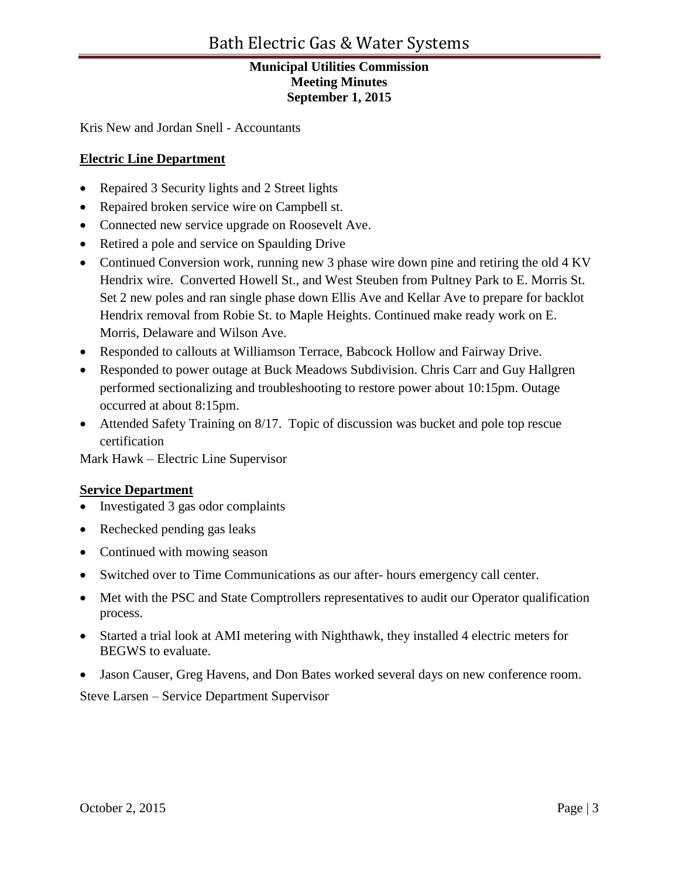Kris New and Jordan Snell - Accountants

## **Electric Line Department**

- Repaired 3 Security lights and 2 Street lights
- Repaired broken service wire on Campbell st.
- Connected new service upgrade on Roosevelt Ave.
- Retired a pole and service on Spaulding Drive
- Continued Conversion work, running new 3 phase wire down pine and retiring the old 4 KV Hendrix wire. Converted Howell St., and West Steuben from Pultney Park to E. Morris St. Set 2 new poles and ran single phase down Ellis Ave and Kellar Ave to prepare for backlot Hendrix removal from Robie St. to Maple Heights. Continued make ready work on E. Morris, Delaware and Wilson Ave.
- Responded to callouts at Williamson Terrace, Babcock Hollow and Fairway Drive.
- Responded to power outage at Buck Meadows Subdivision. Chris Carr and Guy Hallgren performed sectionalizing and troubleshooting to restore power about 10:15pm. Outage occurred at about 8:15pm.
- Attended Safety Training on 8/17. Topic of discussion was bucket and pole top rescue certification

Mark Hawk – Electric Line Supervisor

#### **Service Department**

- Investigated 3 gas odor complaints
- Rechecked pending gas leaks
- Continued with mowing season
- Switched over to Time Communications as our after- hours emergency call center.
- Met with the PSC and State Comptrollers representatives to audit our Operator qualification process.
- Started a trial look at AMI metering with Nighthawk, they installed 4 electric meters for BEGWS to evaluate.
- Jason Causer, Greg Havens, and Don Bates worked several days on new conference room.

Steve Larsen – Service Department Supervisor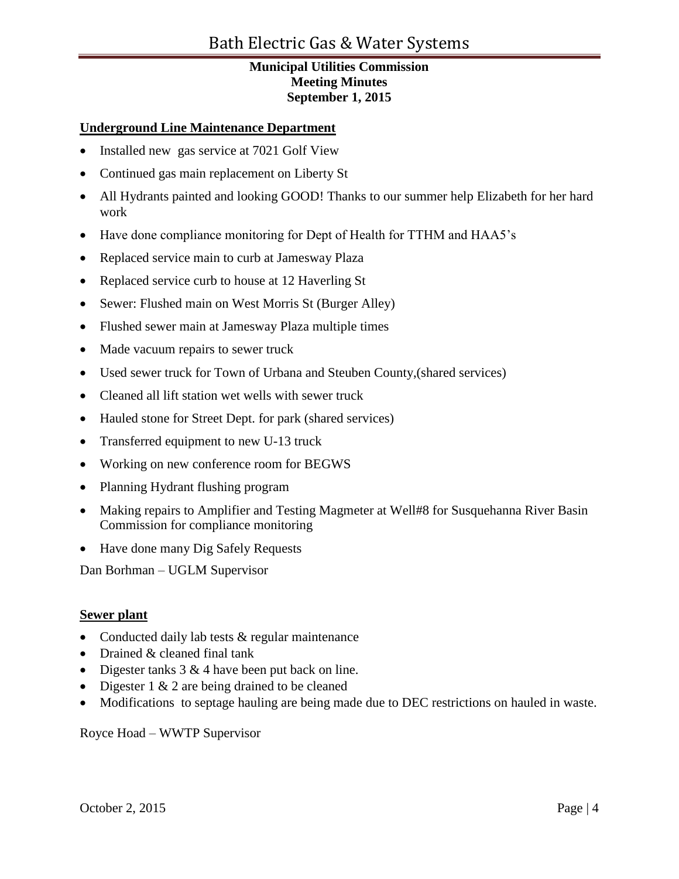## **Underground Line Maintenance Department**

- Installed new gas service at 7021 Golf View
- Continued gas main replacement on Liberty St
- All Hydrants painted and looking GOOD! Thanks to our summer help Elizabeth for her hard work
- Have done compliance monitoring for Dept of Health for TTHM and HAA5's
- Replaced service main to curb at Jamesway Plaza
- Replaced service curb to house at 12 Haverling St
- Sewer: Flushed main on West Morris St (Burger Alley)
- Flushed sewer main at Jamesway Plaza multiple times
- Made vacuum repairs to sewer truck
- Used sewer truck for Town of Urbana and Steuben County,(shared services)
- Cleaned all lift station wet wells with sewer truck
- Hauled stone for Street Dept. for park (shared services)
- Transferred equipment to new U-13 truck
- Working on new conference room for BEGWS
- Planning Hydrant flushing program
- Making repairs to Amplifier and Testing Magmeter at Well#8 for Susquehanna River Basin Commission for compliance monitoring
- Have done many Dig Safely Requests

Dan Borhman – UGLM Supervisor

#### **Sewer plant**

- Conducted daily lab tests & regular maintenance
- Drained & cleaned final tank
- Digester tanks  $3 \& 4$  have been put back on line.
- Digester  $1 \& 2$  are being drained to be cleaned
- Modifications to septage hauling are being made due to DEC restrictions on hauled in waste.

Royce Hoad – WWTP Supervisor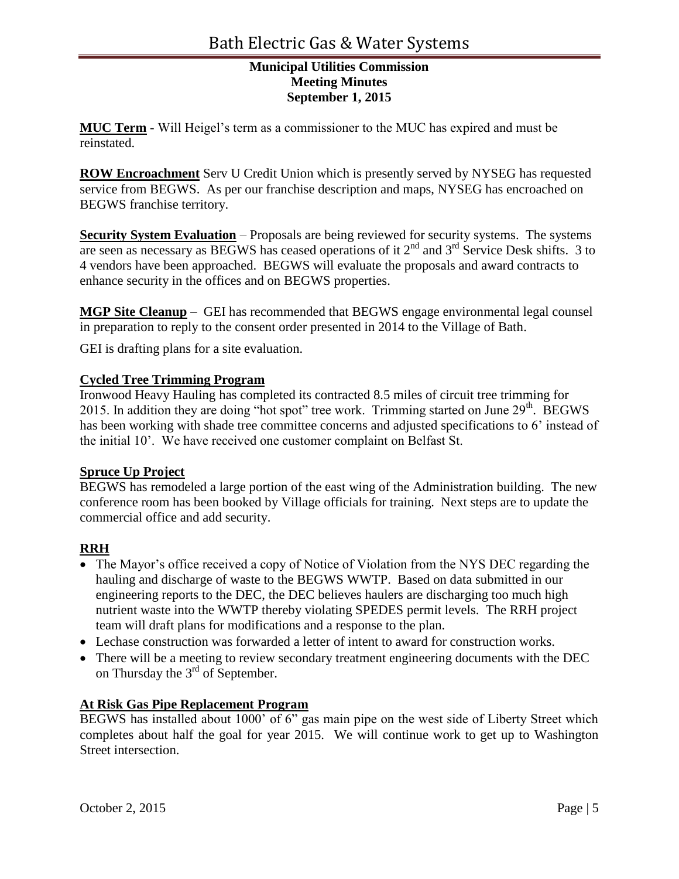**MUC Term** - Will Heigel's term as a commissioner to the MUC has expired and must be reinstated.

**ROW Encroachment** Serv U Credit Union which is presently served by NYSEG has requested service from BEGWS. As per our franchise description and maps, NYSEG has encroached on BEGWS franchise territory.

**Security System Evaluation** – Proposals are being reviewed for security systems. The systems are seen as necessary as BEGWS has ceased operations of it  $2<sup>nd</sup>$  and  $3<sup>rd</sup>$  Service Desk shifts. 3 to 4 vendors have been approached. BEGWS will evaluate the proposals and award contracts to enhance security in the offices and on BEGWS properties.

**MGP Site Cleanup** – GEI has recommended that BEGWS engage environmental legal counsel in preparation to reply to the consent order presented in 2014 to the Village of Bath.

GEI is drafting plans for a site evaluation.

## **Cycled Tree Trimming Program**

Ironwood Heavy Hauling has completed its contracted 8.5 miles of circuit tree trimming for 2015. In addition they are doing "hot spot" tree work. Trimming started on June  $29<sup>th</sup>$ . BEGWS has been working with shade tree committee concerns and adjusted specifications to 6' instead of the initial 10'. We have received one customer complaint on Belfast St.

#### **Spruce Up Project**

BEGWS has remodeled a large portion of the east wing of the Administration building. The new conference room has been booked by Village officials for training. Next steps are to update the commercial office and add security.

#### **RRH**

- The Mayor's office received a copy of Notice of Violation from the NYS DEC regarding the hauling and discharge of waste to the BEGWS WWTP. Based on data submitted in our engineering reports to the DEC, the DEC believes haulers are discharging too much high nutrient waste into the WWTP thereby violating SPEDES permit levels. The RRH project team will draft plans for modifications and a response to the plan.
- Lechase construction was forwarded a letter of intent to award for construction works.
- There will be a meeting to review secondary treatment engineering documents with the DEC on Thursday the  $3^{rd}$  of September.

#### **At Risk Gas Pipe Replacement Program**

BEGWS has installed about 1000' of 6" gas main pipe on the west side of Liberty Street which completes about half the goal for year 2015. We will continue work to get up to Washington Street intersection.